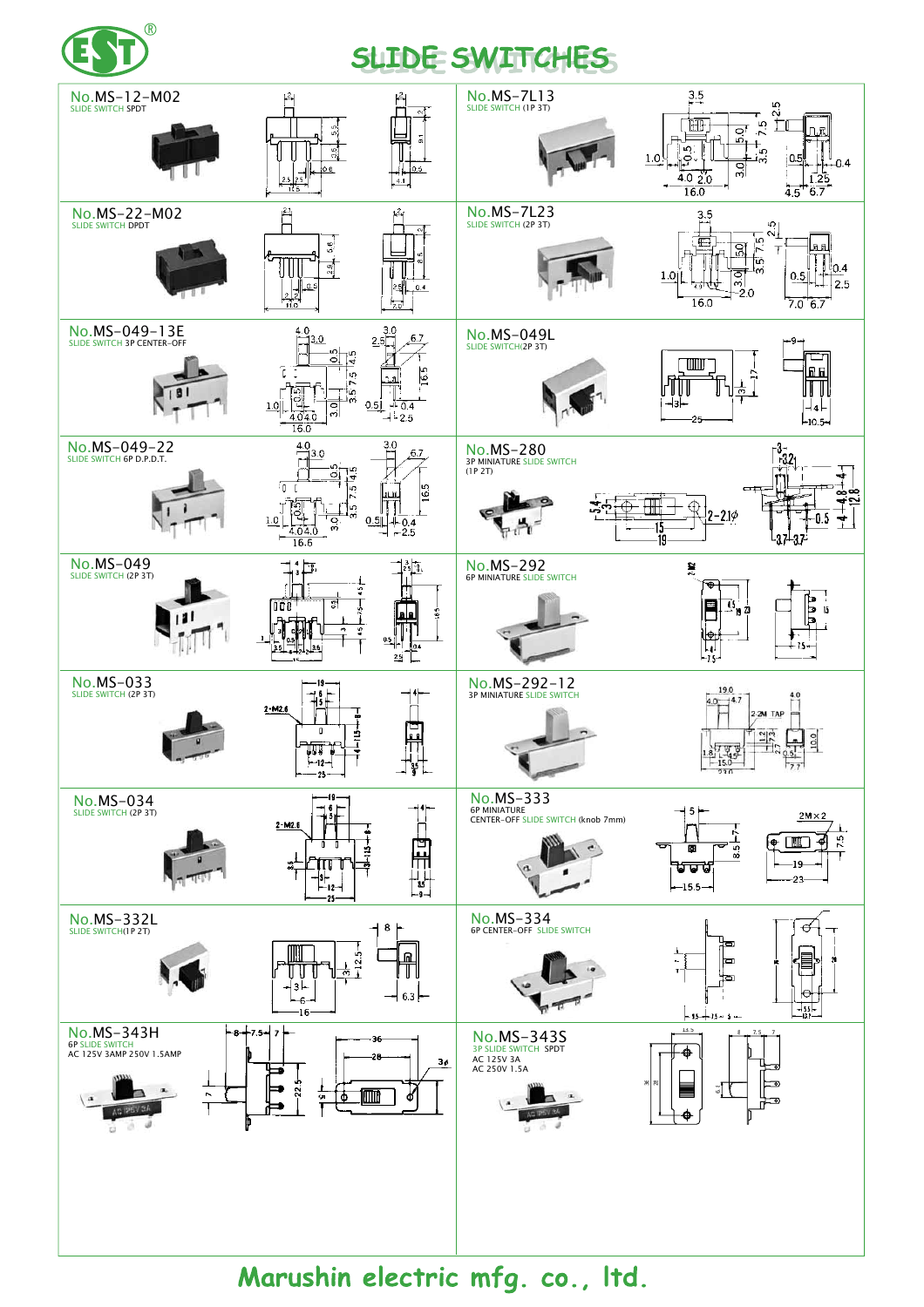

## SLIDE SWITCHES



Marushin electric mfg. co., Itd.